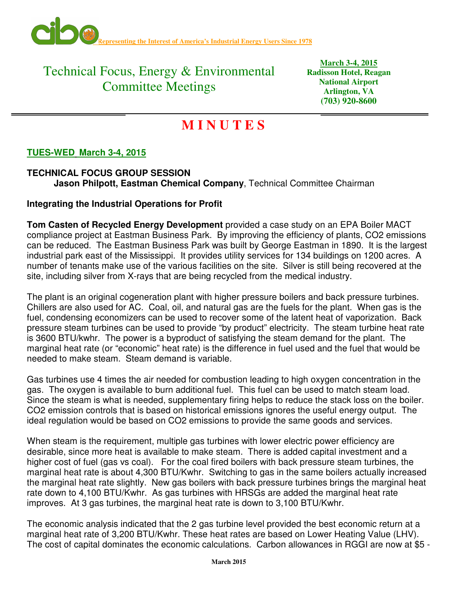

## Technical Focus, Energy & Environmental Committee Meetings

**March 3-4, 2015 Radisson Hotel, Reagan National Airport Arlington, VA (703) 920-8600** 

# **M I N U T E S**

## **TUES-WED March 3-4, 2015**

### **TECHNICAL FOCUS GROUP SESSION Jason Philpott, Eastman Chemical Company**, Technical Committee Chairman

#### **Integrating the Industrial Operations for Profit**

**Tom Casten of Recycled Energy Development** provided a case study on an EPA Boiler MACT compliance project at Eastman Business Park. By improving the efficiency of plants, CO2 emissions can be reduced. The Eastman Business Park was built by George Eastman in 1890. It is the largest industrial park east of the Mississippi. It provides utility services for 134 buildings on 1200 acres. A number of tenants make use of the various facilities on the site. Silver is still being recovered at the site, including silver from X-rays that are being recycled from the medical industry.

The plant is an original cogeneration plant with higher pressure boilers and back pressure turbines. Chillers are also used for AC. Coal, oil, and natural gas are the fuels for the plant. When gas is the fuel, condensing economizers can be used to recover some of the latent heat of vaporization. Back pressure steam turbines can be used to provide "by product" electricity. The steam turbine heat rate is 3600 BTU/kwhr. The power is a byproduct of satisfying the steam demand for the plant. The marginal heat rate (or "economic" heat rate) is the difference in fuel used and the fuel that would be needed to make steam. Steam demand is variable.

Gas turbines use 4 times the air needed for combustion leading to high oxygen concentration in the gas. The oxygen is available to burn additional fuel. This fuel can be used to match steam load. Since the steam is what is needed, supplementary firing helps to reduce the stack loss on the boiler. CO2 emission controls that is based on historical emissions ignores the useful energy output. The ideal regulation would be based on CO2 emissions to provide the same goods and services.

When steam is the requirement, multiple gas turbines with lower electric power efficiency are desirable, since more heat is available to make steam. There is added capital investment and a higher cost of fuel (gas vs coal). For the coal fired boilers with back pressure steam turbines, the marginal heat rate is about 4,300 BTU/Kwhr. Switching to gas in the same boilers actually increased the marginal heat rate slightly. New gas boilers with back pressure turbines brings the marginal heat rate down to 4,100 BTU/Kwhr. As gas turbines with HRSGs are added the marginal heat rate improves. At 3 gas turbines, the marginal heat rate is down to 3,100 BTU/Kwhr.

The economic analysis indicated that the 2 gas turbine level provided the best economic return at a marginal heat rate of 3,200 BTU/Kwhr. These heat rates are based on Lower Heating Value (LHV). The cost of capital dominates the economic calculations. Carbon allowances in RGGI are now at \$5 -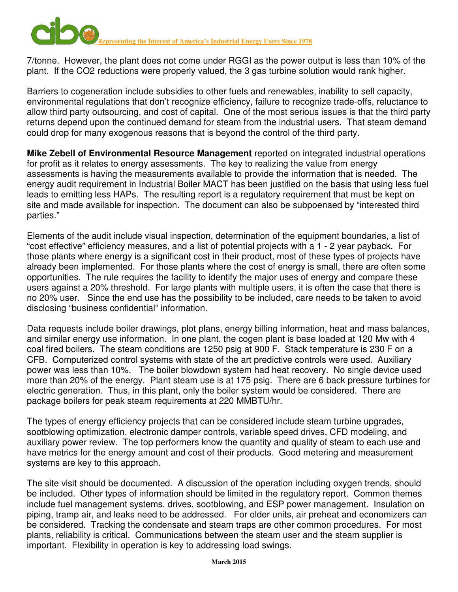

7/tonne. However, the plant does not come under RGGI as the power output is less than 10% of the plant. If the CO2 reductions were properly valued, the 3 gas turbine solution would rank higher.

Barriers to cogeneration include subsidies to other fuels and renewables, inability to sell capacity, environmental regulations that don't recognize efficiency, failure to recognize trade-offs, reluctance to allow third party outsourcing, and cost of capital. One of the most serious issues is that the third party returns depend upon the continued demand for steam from the industrial users. That steam demand could drop for many exogenous reasons that is beyond the control of the third party.

**Mike Zebell of Environmental Resource Management** reported on integrated industrial operations for profit as it relates to energy assessments. The key to realizing the value from energy assessments is having the measurements available to provide the information that is needed. The energy audit requirement in Industrial Boiler MACT has been justified on the basis that using less fuel leads to emitting less HAPs. The resulting report is a regulatory requirement that must be kept on site and made available for inspection. The document can also be subpoenaed by "interested third parties."

Elements of the audit include visual inspection, determination of the equipment boundaries, a list of "cost effective" efficiency measures, and a list of potential projects with a 1 - 2 year payback. For those plants where energy is a significant cost in their product, most of these types of projects have already been implemented. For those plants where the cost of energy is small, there are often some opportunities. The rule requires the facility to identify the major uses of energy and compare these users against a 20% threshold. For large plants with multiple users, it is often the case that there is no 20% user. Since the end use has the possibility to be included, care needs to be taken to avoid disclosing "business confidential" information.

Data requests include boiler drawings, plot plans, energy billing information, heat and mass balances, and similar energy use information. In one plant, the cogen plant is base loaded at 120 Mw with 4 coal fired boilers. The steam conditions are 1250 psig at 900 F. Stack temperature is 230 F on a CFB. Computerized control systems with state of the art predictive controls were used. Auxiliary power was less than 10%. The boiler blowdown system had heat recovery. No single device used more than 20% of the energy. Plant steam use is at 175 psig. There are 6 back pressure turbines for electric generation. Thus, in this plant, only the boiler system would be considered. There are package boilers for peak steam requirements at 220 MMBTU/hr.

The types of energy efficiency projects that can be considered include steam turbine upgrades, sootblowing optimization, electronic damper controls, variable speed drives, CFD modeling, and auxiliary power review. The top performers know the quantity and quality of steam to each use and have metrics for the energy amount and cost of their products. Good metering and measurement systems are key to this approach.

The site visit should be documented. A discussion of the operation including oxygen trends, should be included. Other types of information should be limited in the regulatory report. Common themes include fuel management systems, drives, sootblowing, and ESP power management. Insulation on piping, tramp air, and leaks need to be addressed. For older units, air preheat and economizers can be considered. Tracking the condensate and steam traps are other common procedures. For most plants, reliability is critical. Communications between the steam user and the steam supplier is important. Flexibility in operation is key to addressing load swings.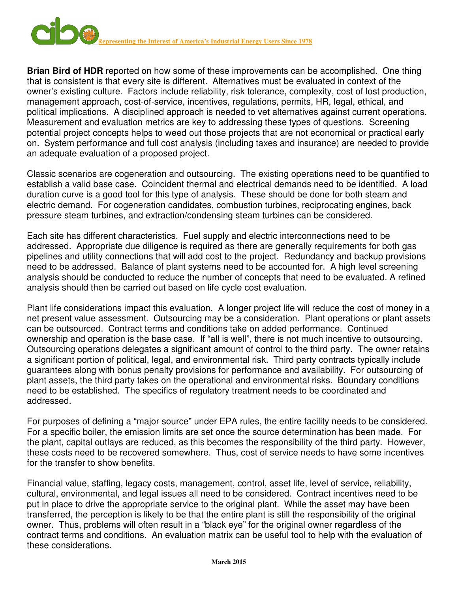

**Brian Bird of HDR** reported on how some of these improvements can be accomplished. One thing that is consistent is that every site is different. Alternatives must be evaluated in context of the owner's existing culture. Factors include reliability, risk tolerance, complexity, cost of lost production, management approach, cost-of-service, incentives, regulations, permits, HR, legal, ethical, and political implications. A disciplined approach is needed to vet alternatives against current operations. Measurement and evaluation metrics are key to addressing these types of questions. Screening potential project concepts helps to weed out those projects that are not economical or practical early on. System performance and full cost analysis (including taxes and insurance) are needed to provide an adequate evaluation of a proposed project.

Classic scenarios are cogeneration and outsourcing. The existing operations need to be quantified to establish a valid base case. Coincident thermal and electrical demands need to be identified. A load duration curve is a good tool for this type of analysis. These should be done for both steam and electric demand. For cogeneration candidates, combustion turbines, reciprocating engines, back pressure steam turbines, and extraction/condensing steam turbines can be considered.

Each site has different characteristics. Fuel supply and electric interconnections need to be addressed. Appropriate due diligence is required as there are generally requirements for both gas pipelines and utility connections that will add cost to the project. Redundancy and backup provisions need to be addressed. Balance of plant systems need to be accounted for. A high level screening analysis should be conducted to reduce the number of concepts that need to be evaluated. A refined analysis should then be carried out based on life cycle cost evaluation.

Plant life considerations impact this evaluation. A longer project life will reduce the cost of money in a net present value assessment. Outsourcing may be a consideration. Plant operations or plant assets can be outsourced. Contract terms and conditions take on added performance. Continued ownership and operation is the base case. If "all is well", there is not much incentive to outsourcing. Outsourcing operations delegates a significant amount of control to the third party. The owner retains a significant portion of political, legal, and environmental risk. Third party contracts typically include guarantees along with bonus penalty provisions for performance and availability. For outsourcing of plant assets, the third party takes on the operational and environmental risks. Boundary conditions need to be established. The specifics of regulatory treatment needs to be coordinated and addressed.

For purposes of defining a "major source" under EPA rules, the entire facility needs to be considered. For a specific boiler, the emission limits are set once the source determination has been made. For the plant, capital outlays are reduced, as this becomes the responsibility of the third party. However, these costs need to be recovered somewhere. Thus, cost of service needs to have some incentives for the transfer to show benefits.

Financial value, staffing, legacy costs, management, control, asset life, level of service, reliability, cultural, environmental, and legal issues all need to be considered. Contract incentives need to be put in place to drive the appropriate service to the original plant. While the asset may have been transferred, the perception is likely to be that the entire plant is still the responsibility of the original owner. Thus, problems will often result in a "black eye" for the original owner regardless of the contract terms and conditions. An evaluation matrix can be useful tool to help with the evaluation of these considerations.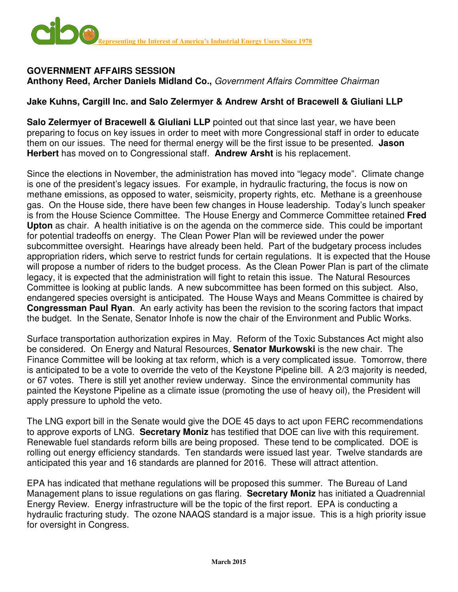

#### **GOVERNMENT AFFAIRS SESSION Anthony Reed, Archer Daniels Midland Co.,** Government Affairs Committee Chairman

### **Jake Kuhns, Cargill Inc. and Salo Zelermyer & Andrew Arsht of Bracewell & Giuliani LLP**

**Salo Zelermyer of Bracewell & Giuliani LLP** pointed out that since last year, we have been preparing to focus on key issues in order to meet with more Congressional staff in order to educate them on our issues. The need for thermal energy will be the first issue to be presented. **Jason Herbert** has moved on to Congressional staff. **Andrew Arsht** is his replacement.

Since the elections in November, the administration has moved into "legacy mode". Climate change is one of the president's legacy issues. For example, in hydraulic fracturing, the focus is now on methane emissions, as opposed to water, seismicity, property rights, etc. Methane is a greenhouse gas. On the House side, there have been few changes in House leadership. Today's lunch speaker is from the House Science Committee. The House Energy and Commerce Committee retained **Fred Upton** as chair. A health initiative is on the agenda on the commerce side. This could be important for potential tradeoffs on energy. The Clean Power Plan will be reviewed under the power subcommittee oversight. Hearings have already been held. Part of the budgetary process includes appropriation riders, which serve to restrict funds for certain regulations. It is expected that the House will propose a number of riders to the budget process. As the Clean Power Plan is part of the climate legacy, it is expected that the administration will fight to retain this issue. The Natural Resources Committee is looking at public lands. A new subcommittee has been formed on this subject. Also, endangered species oversight is anticipated. The House Ways and Means Committee is chaired by **Congressman Paul Ryan**. An early activity has been the revision to the scoring factors that impact the budget. In the Senate, Senator Inhofe is now the chair of the Environment and Public Works.

Surface transportation authorization expires in May. Reform of the Toxic Substances Act might also be considered. On Energy and Natural Resources, **Senator Murkowski** is the new chair. The Finance Committee will be looking at tax reform, which is a very complicated issue. Tomorrow, there is anticipated to be a vote to override the veto of the Keystone Pipeline bill. A 2/3 majority is needed, or 67 votes. There is still yet another review underway. Since the environmental community has painted the Keystone Pipeline as a climate issue (promoting the use of heavy oil), the President will apply pressure to uphold the veto.

The LNG export bill in the Senate would give the DOE 45 days to act upon FERC recommendations to approve exports of LNG. **Secretary Moniz** has testified that DOE can live with this requirement. Renewable fuel standards reform bills are being proposed. These tend to be complicated. DOE is rolling out energy efficiency standards. Ten standards were issued last year. Twelve standards are anticipated this year and 16 standards are planned for 2016. These will attract attention.

EPA has indicated that methane regulations will be proposed this summer. The Bureau of Land Management plans to issue regulations on gas flaring. **Secretary Moniz** has initiated a Quadrennial Energy Review. Energy infrastructure will be the topic of the first report. EPA is conducting a hydraulic fracturing study. The ozone NAAQS standard is a major issue. This is a high priority issue for oversight in Congress.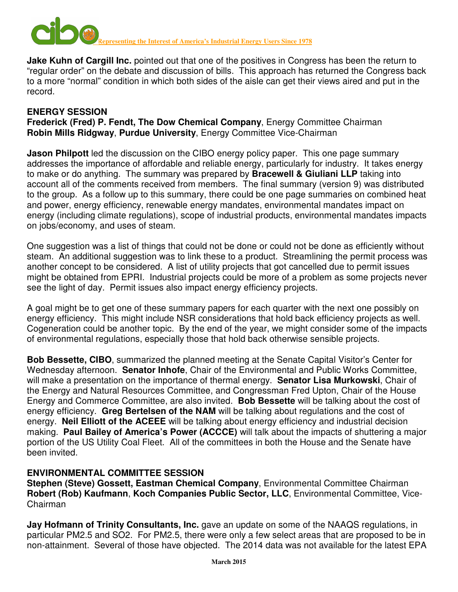

**Jake Kuhn of Cargill Inc.** pointed out that one of the positives in Congress has been the return to "regular order" on the debate and discussion of bills. This approach has returned the Congress back to a more "normal" condition in which both sides of the aisle can get their views aired and put in the record.

### **ENERGY SESSION**

**Frederick (Fred) P. Fendt, The Dow Chemical Company**, Energy Committee Chairman **Robin Mills Ridgway**, **Purdue University**, Energy Committee Vice-Chairman

**Jason Philpott** led the discussion on the CIBO energy policy paper. This one page summary addresses the importance of affordable and reliable energy, particularly for industry. It takes energy to make or do anything. The summary was prepared by **Bracewell & Giuliani LLP** taking into account all of the comments received from members. The final summary (version 9) was distributed to the group. As a follow up to this summary, there could be one page summaries on combined heat and power, energy efficiency, renewable energy mandates, environmental mandates impact on energy (including climate regulations), scope of industrial products, environmental mandates impacts on jobs/economy, and uses of steam.

One suggestion was a list of things that could not be done or could not be done as efficiently without steam. An additional suggestion was to link these to a product. Streamlining the permit process was another concept to be considered. A list of utility projects that got cancelled due to permit issues might be obtained from EPRI. Industrial projects could be more of a problem as some projects never see the light of day. Permit issues also impact energy efficiency projects.

A goal might be to get one of these summary papers for each quarter with the next one possibly on energy efficiency. This might include NSR considerations that hold back efficiency projects as well. Cogeneration could be another topic. By the end of the year, we might consider some of the impacts of environmental regulations, especially those that hold back otherwise sensible projects.

**Bob Bessette, CIBO**, summarized the planned meeting at the Senate Capital Visitor's Center for Wednesday afternoon. **Senator Inhofe**, Chair of the Environmental and Public Works Committee, will make a presentation on the importance of thermal energy. **Senator Lisa Murkowski**, Chair of the Energy and Natural Resources Committee, and Congressman Fred Upton, Chair of the House Energy and Commerce Committee, are also invited. **Bob Bessette** will be talking about the cost of energy efficiency. **Greg Bertelsen of the NAM** will be talking about regulations and the cost of energy. **Neil Elliott of the ACEEE** will be talking about energy efficiency and industrial decision making. **Paul Bailey of America's Power (ACCCE)** will talk about the impacts of shuttering a major portion of the US Utility Coal Fleet. All of the committees in both the House and the Senate have been invited.

### **ENVIRONMENTAL COMMITTEE SESSION**

**Stephen (Steve) Gossett, Eastman Chemical Company**, Environmental Committee Chairman **Robert (Rob) Kaufmann**, **Koch Companies Public Sector, LLC**, Environmental Committee, Vice-Chairman

**Jay Hofmann of Trinity Consultants, Inc.** gave an update on some of the NAAQS regulations, in particular PM2.5 and SO2. For PM2.5, there were only a few select areas that are proposed to be in non-attainment. Several of those have objected. The 2014 data was not available for the latest EPA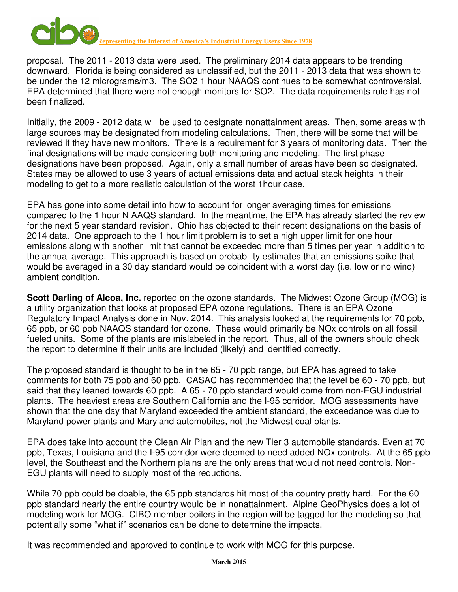

proposal. The 2011 - 2013 data were used. The preliminary 2014 data appears to be trending downward. Florida is being considered as unclassified, but the 2011 - 2013 data that was shown to be under the 12 micrograms/m3. The SO2 1 hour NAAQS continues to be somewhat controversial. EPA determined that there were not enough monitors for SO2. The data requirements rule has not been finalized.

Initially, the 2009 - 2012 data will be used to designate nonattainment areas. Then, some areas with large sources may be designated from modeling calculations. Then, there will be some that will be reviewed if they have new monitors. There is a requirement for 3 years of monitoring data. Then the final designations will be made considering both monitoring and modeling. The first phase designations have been proposed. Again, only a small number of areas have been so designated. States may be allowed to use 3 years of actual emissions data and actual stack heights in their modeling to get to a more realistic calculation of the worst 1hour case.

EPA has gone into some detail into how to account for longer averaging times for emissions compared to the 1 hour N AAQS standard. In the meantime, the EPA has already started the review for the next 5 year standard revision. Ohio has objected to their recent designations on the basis of 2014 data. One approach to the 1 hour limit problem is to set a high upper limit for one hour emissions along with another limit that cannot be exceeded more than 5 times per year in addition to the annual average. This approach is based on probability estimates that an emissions spike that would be averaged in a 30 day standard would be coincident with a worst day (i.e. low or no wind) ambient condition.

**Scott Darling of Alcoa, Inc.** reported on the ozone standards. The Midwest Ozone Group (MOG) is a utility organization that looks at proposed EPA ozone regulations. There is an EPA Ozone Regulatory Impact Analysis done in Nov. 2014. This analysis looked at the requirements for 70 ppb, 65 ppb, or 60 ppb NAAQS standard for ozone. These would primarily be NOx controls on all fossil fueled units. Some of the plants are mislabeled in the report. Thus, all of the owners should check the report to determine if their units are included (likely) and identified correctly.

The proposed standard is thought to be in the 65 - 70 ppb range, but EPA has agreed to take comments for both 75 ppb and 60 ppb. CASAC has recommended that the level be 60 - 70 ppb, but said that they leaned towards 60 ppb. A 65 - 70 ppb standard would come from non-EGU industrial plants. The heaviest areas are Southern California and the I-95 corridor. MOG assessments have shown that the one day that Maryland exceeded the ambient standard, the exceedance was due to Maryland power plants and Maryland automobiles, not the Midwest coal plants.

EPA does take into account the Clean Air Plan and the new Tier 3 automobile standards. Even at 70 ppb, Texas, Louisiana and the I-95 corridor were deemed to need added NOx controls. At the 65 ppb level, the Southeast and the Northern plains are the only areas that would not need controls. Non-EGU plants will need to supply most of the reductions.

While 70 ppb could be doable, the 65 ppb standards hit most of the country pretty hard. For the 60 ppb standard nearly the entire country would be in nonattainment. Alpine GeoPhysics does a lot of modeling work for MOG. CIBO member boilers in the region will be tagged for the modeling so that potentially some "what if" scenarios can be done to determine the impacts.

It was recommended and approved to continue to work with MOG for this purpose.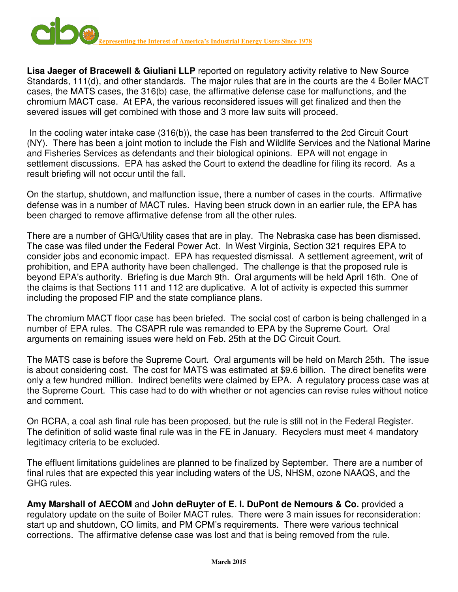

**Lisa Jaeger of Bracewell & Giuliani LLP** reported on regulatory activity relative to New Source Standards, 111(d), and other standards. The major rules that are in the courts are the 4 Boiler MACT cases, the MATS cases, the 316(b) case, the affirmative defense case for malfunctions, and the chromium MACT case. At EPA, the various reconsidered issues will get finalized and then the severed issues will get combined with those and 3 more law suits will proceed.

 In the cooling water intake case (316(b)), the case has been transferred to the 2cd Circuit Court (NY). There has been a joint motion to include the Fish and Wildlife Services and the National Marine and Fisheries Services as defendants and their biological opinions. EPA will not engage in settlement discussions. EPA has asked the Court to extend the deadline for filing its record. As a result briefing will not occur until the fall.

On the startup, shutdown, and malfunction issue, there a number of cases in the courts. Affirmative defense was in a number of MACT rules. Having been struck down in an earlier rule, the EPA has been charged to remove affirmative defense from all the other rules.

There are a number of GHG/Utility cases that are in play. The Nebraska case has been dismissed. The case was filed under the Federal Power Act. In West Virginia, Section 321 requires EPA to consider jobs and economic impact. EPA has requested dismissal. A settlement agreement, writ of prohibition, and EPA authority have been challenged. The challenge is that the proposed rule is beyond EPA's authority. Briefing is due March 9th. Oral arguments will be held April 16th. One of the claims is that Sections 111 and 112 are duplicative. A lot of activity is expected this summer including the proposed FIP and the state compliance plans.

The chromium MACT floor case has been briefed. The social cost of carbon is being challenged in a number of EPA rules. The CSAPR rule was remanded to EPA by the Supreme Court. Oral arguments on remaining issues were held on Feb. 25th at the DC Circuit Court.

The MATS case is before the Supreme Court. Oral arguments will be held on March 25th. The issue is about considering cost. The cost for MATS was estimated at \$9.6 billion. The direct benefits were only a few hundred million. Indirect benefits were claimed by EPA. A regulatory process case was at the Supreme Court. This case had to do with whether or not agencies can revise rules without notice and comment.

On RCRA, a coal ash final rule has been proposed, but the rule is still not in the Federal Register. The definition of solid waste final rule was in the FE in January. Recyclers must meet 4 mandatory legitimacy criteria to be excluded.

The effluent limitations guidelines are planned to be finalized by September. There are a number of final rules that are expected this year including waters of the US, NHSM, ozone NAAQS, and the GHG rules.

**Amy Marshall of AECOM** and **John deRuyter of E. I. DuPont de Nemours & Co.** provided a regulatory update on the suite of Boiler MACT rules. There were 3 main issues for reconsideration: start up and shutdown, CO limits, and PM CPM's requirements. There were various technical corrections. The affirmative defense case was lost and that is being removed from the rule.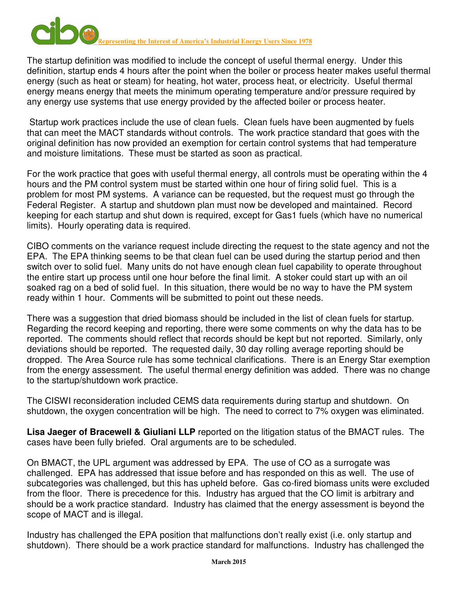

The startup definition was modified to include the concept of useful thermal energy. Under this definition, startup ends 4 hours after the point when the boiler or process heater makes useful thermal energy (such as heat or steam) for heating, hot water, process heat, or electricity. Useful thermal energy means energy that meets the minimum operating temperature and/or pressure required by any energy use systems that use energy provided by the affected boiler or process heater.

 Startup work practices include the use of clean fuels. Clean fuels have been augmented by fuels that can meet the MACT standards without controls. The work practice standard that goes with the original definition has now provided an exemption for certain control systems that had temperature and moisture limitations. These must be started as soon as practical.

For the work practice that goes with useful thermal energy, all controls must be operating within the 4 hours and the PM control system must be started within one hour of firing solid fuel. This is a problem for most PM systems. A variance can be requested, but the request must go through the Federal Register. A startup and shutdown plan must now be developed and maintained. Record keeping for each startup and shut down is required, except for Gas1 fuels (which have no numerical limits). Hourly operating data is required.

CIBO comments on the variance request include directing the request to the state agency and not the EPA. The EPA thinking seems to be that clean fuel can be used during the startup period and then switch over to solid fuel. Many units do not have enough clean fuel capability to operate throughout the entire start up process until one hour before the final limit. A stoker could start up with an oil soaked rag on a bed of solid fuel. In this situation, there would be no way to have the PM system ready within 1 hour. Comments will be submitted to point out these needs.

There was a suggestion that dried biomass should be included in the list of clean fuels for startup. Regarding the record keeping and reporting, there were some comments on why the data has to be reported. The comments should reflect that records should be kept but not reported. Similarly, only deviations should be reported. The requested daily, 30 day rolling average reporting should be dropped. The Area Source rule has some technical clarifications. There is an Energy Star exemption from the energy assessment. The useful thermal energy definition was added. There was no change to the startup/shutdown work practice.

The CISWI reconsideration included CEMS data requirements during startup and shutdown. On shutdown, the oxygen concentration will be high. The need to correct to 7% oxygen was eliminated.

**Lisa Jaeger of Bracewell & Giuliani LLP** reported on the litigation status of the BMACT rules. The cases have been fully briefed. Oral arguments are to be scheduled.

On BMACT, the UPL argument was addressed by EPA. The use of CO as a surrogate was challenged. EPA has addressed that issue before and has responded on this as well. The use of subcategories was challenged, but this has upheld before. Gas co-fired biomass units were excluded from the floor. There is precedence for this. Industry has argued that the CO limit is arbitrary and should be a work practice standard. Industry has claimed that the energy assessment is beyond the scope of MACT and is illegal.

Industry has challenged the EPA position that malfunctions don't really exist (i.e. only startup and shutdown). There should be a work practice standard for malfunctions. Industry has challenged the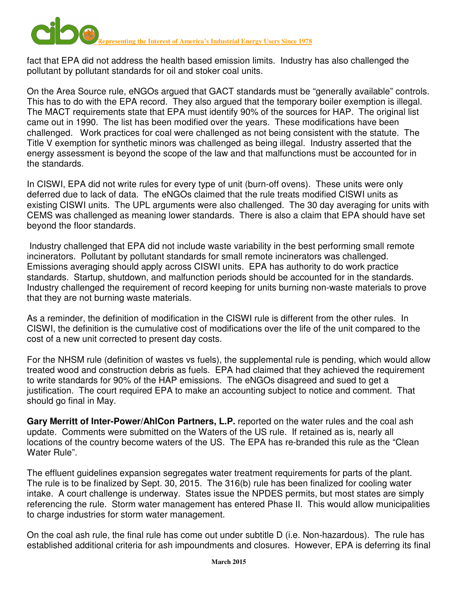

fact that EPA did not address the health based emission limits. Industry has also challenged the pollutant by pollutant standards for oil and stoker coal units.

On the Area Source rule, eNGOs argued that GACT standards must be "generally available" controls. This has to do with the EPA record. They also argued that the temporary boiler exemption is illegal. The MACT requirements state that EPA must identify 90% of the sources for HAP. The original list came out in 1990. The list has been modified over the years. These modifications have been challenged. Work practices for coal were challenged as not being consistent with the statute. The Title V exemption for synthetic minors was challenged as being illegal. Industry asserted that the energy assessment is beyond the scope of the law and that malfunctions must be accounted for in the standards.

In CISWI, EPA did not write rules for every type of unit (burn-off ovens). These units were only deferred due to lack of data. The eNGOs claimed that the rule treats modified CISWI units as existing CISWI units. The UPL arguments were also challenged. The 30 day averaging for units with CEMS was challenged as meaning lower standards. There is also a claim that EPA should have set beyond the floor standards.

 Industry challenged that EPA did not include waste variability in the best performing small remote incinerators. Pollutant by pollutant standards for small remote incinerators was challenged. Emissions averaging should apply across CISWI units. EPA has authority to do work practice standards. Startup, shutdown, and malfunction periods should be accounted for in the standards. Industry challenged the requirement of record keeping for units burning non-waste materials to prove that they are not burning waste materials.

As a reminder, the definition of modification in the CISWI rule is different from the other rules. In CISWI, the definition is the cumulative cost of modifications over the life of the unit compared to the cost of a new unit corrected to present day costs.

For the NHSM rule (definition of wastes vs fuels), the supplemental rule is pending, which would allow treated wood and construction debris as fuels. EPA had claimed that they achieved the requirement to write standards for 90% of the HAP emissions. The eNGOs disagreed and sued to get a justification. The court required EPA to make an accounting subject to notice and comment. That should go final in May.

**Gary Merritt of Inter-Power/AhlCon Partners, L.P.** reported on the water rules and the coal ash update. Comments were submitted on the Waters of the US rule. If retained as is, nearly all locations of the country become waters of the US. The EPA has re-branded this rule as the "Clean Water Rule".

The effluent guidelines expansion segregates water treatment requirements for parts of the plant. The rule is to be finalized by Sept. 30, 2015. The 316(b) rule has been finalized for cooling water intake. A court challenge is underway. States issue the NPDES permits, but most states are simply referencing the rule. Storm water management has entered Phase II. This would allow municipalities to charge industries for storm water management.

On the coal ash rule, the final rule has come out under subtitle D (i.e. Non-hazardous). The rule has established additional criteria for ash impoundments and closures. However, EPA is deferring its final